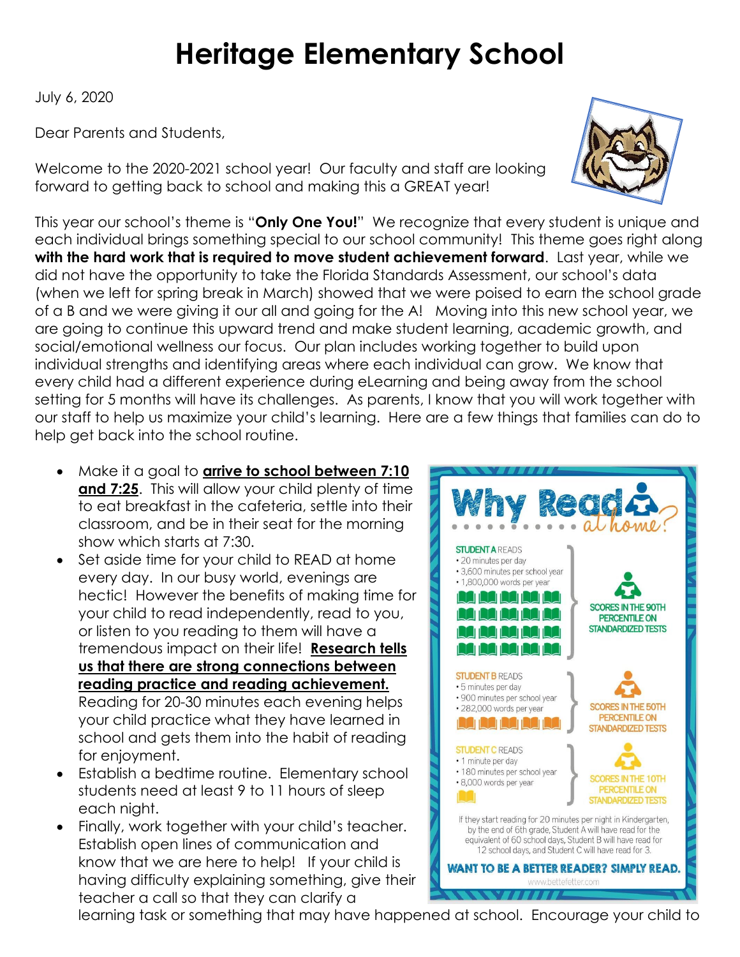## **Heritage Elementary School**

July 6, 2020

Dear Parents and Students,

Welcome to the 2020-2021 school year! Our faculty and staff are looking forward to getting back to school and making this a GREAT year!

This year our school's theme is "**Only One You!**" We recognize that every student is unique and each individual brings something special to our school community! This theme goes right along **with the hard work that is required to move student achievement forward**. Last year, while we did not have the opportunity to take the Florida Standards Assessment, our school's data (when we left for spring break in March) showed that we were poised to earn the school grade of a B and we were giving it our all and going for the A! Moving into this new school year, we are going to continue this upward trend and make student learning, academic growth, and social/emotional wellness our focus. Our plan includes working together to build upon individual strengths and identifying areas where each individual can grow. We know that every child had a different experience during eLearning and being away from the school setting for 5 months will have its challenges. As parents, I know that you will work together with our staff to help us maximize your child's learning. Here are a few things that families can do to help get back into the school routine.

- Make it a goal to **arrive to school between 7:10 and 7:25**. This will allow your child plenty of time to eat breakfast in the cafeteria, settle into their classroom, and be in their seat for the morning show which starts at 7:30.
- Set aside time for your child to READ at home every day. In our busy world, evenings are hectic! However the benefits of making time for your child to read independently, read to you, or listen to you reading to them will have a tremendous impact on their life! **Research tells us that there are strong connections between reading practice and reading achievement.** Reading for 20-30 minutes each evening helps your child practice what they have learned in school and gets them into the habit of reading for enjoyment.
- Establish a bedtime routine. Elementary school students need at least 9 to 11 hours of sleep each night.
- Finally, work together with your child's teacher. Establish open lines of communication and know that we are here to help! If your child is having difficulty explaining something, give their teacher a call so that they can clarify a





learning task or something that may have happened at school. Encourage your child to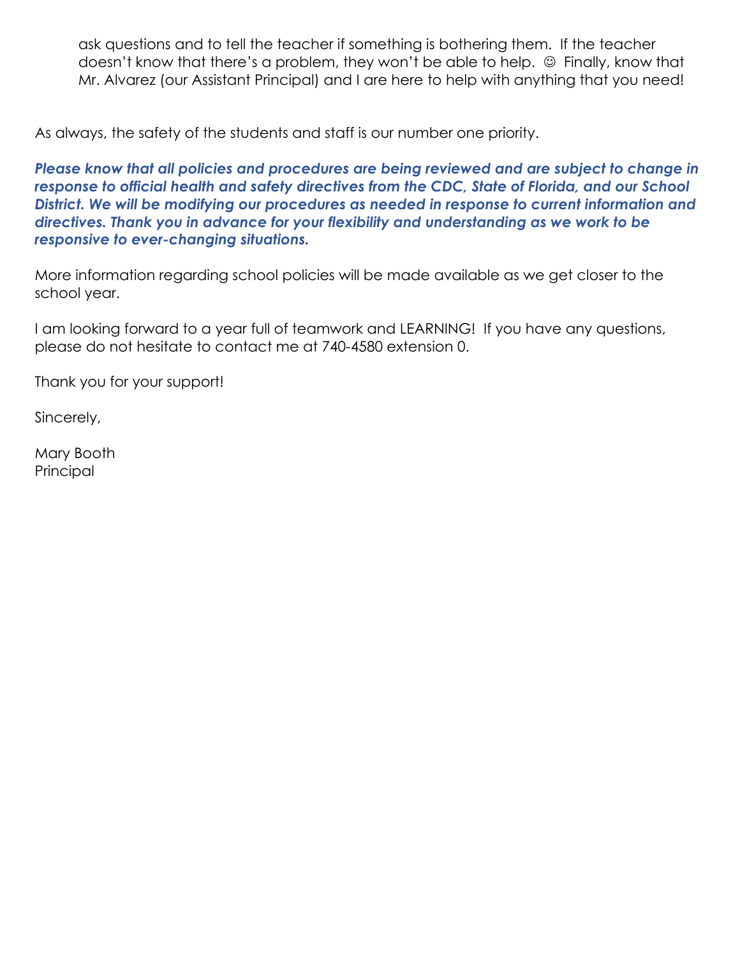ask questions and to tell the teacher if something is bothering them. If the teacher doesn't know that there's a problem, they won't be able to help.  $\odot$  Finally, know that Mr. Alvarez (our Assistant Principal) and I are here to help with anything that you need!

As always, the safety of the students and staff is our number one priority.

*Please know that all policies and procedures are being reviewed and are subject to change in response to official health and safety directives from the CDC, State of Florida, and our School District. We will be modifying our procedures as needed in response to current information and directives. Thank you in advance for your flexibility and understanding as we work to be responsive to ever-changing situations.* 

More information regarding school policies will be made available as we get closer to the school year.

I am looking forward to a year full of teamwork and LEARNING! If you have any questions, please do not hesitate to contact me at 740-4580 extension 0.

Thank you for your support!

Sincerely,

Mary Booth **Principal**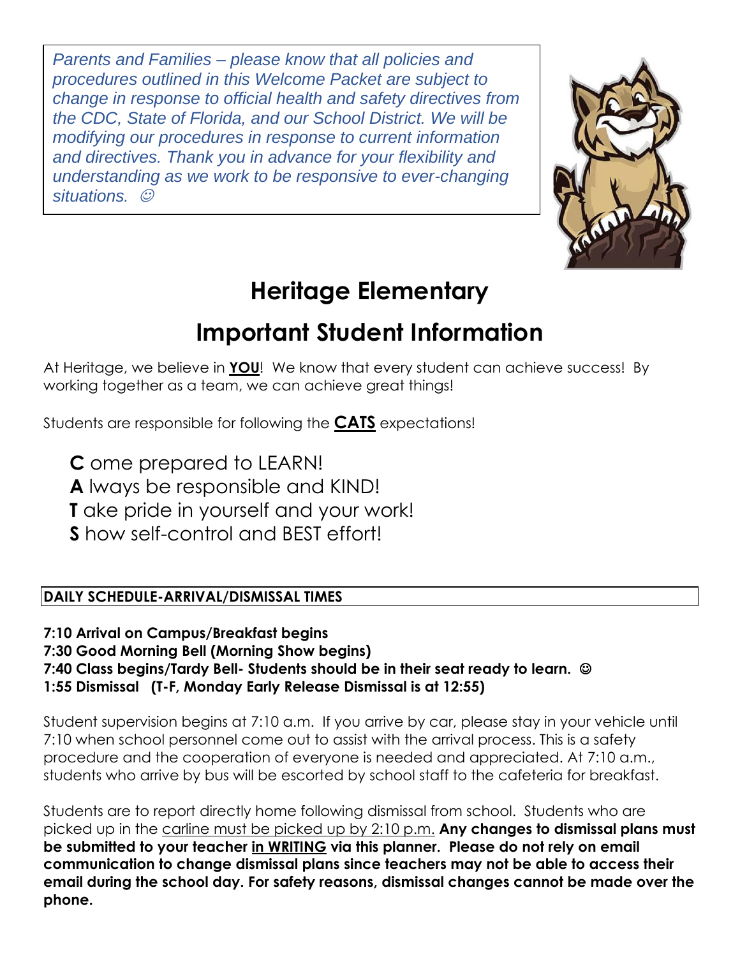*Parents and Families – please know that all policies and procedures outlined in this Welcome Packet are subject to change in response to official health and safety directives from the CDC, State of Florida, and our School District. We will be modifying our procedures in response to current information and directives. Thank you in advance for your flexibility and understanding as we work to be responsive to ever-changing situations.* ☺



### **Heritage Elementary**

### **Important Student Information**

At Heritage, we believe in **YOU**! We know that every student can achieve success! By working together as a team, we can achieve great things!

Students are responsible for following the **CATS** expectations!

**C** ome prepared to LEARN!

**A** lways be responsible and KIND!

**T** ake pride in yourself and your work!

**S** how self-control and BEST effort!

#### **DAILY SCHEDULE-ARRIVAL/DISMISSAL TIMES**

**7:10 Arrival on Campus/Breakfast begins**

**7:30 Good Morning Bell (Morning Show begins)** 

**7:40 Class begins/Tardy Bell- Students should be in their seat ready to learn.** ☺

**1:55 Dismissal (T-F, Monday Early Release Dismissal is at 12:55)**

Student supervision begins at 7:10 a.m. If you arrive by car, please stay in your vehicle until 7:10 when school personnel come out to assist with the arrival process. This is a safety procedure and the cooperation of everyone is needed and appreciated. At 7:10 a.m., students who arrive by bus will be escorted by school staff to the cafeteria for breakfast.

Students are to report directly home following dismissal from school. Students who are picked up in the carline must be picked up by 2:10 p.m. **Any changes to dismissal plans must be submitted to your teacher in WRITING via this planner. Please do not rely on email communication to change dismissal plans since teachers may not be able to access their email during the school day. For safety reasons, dismissal changes cannot be made over the phone.**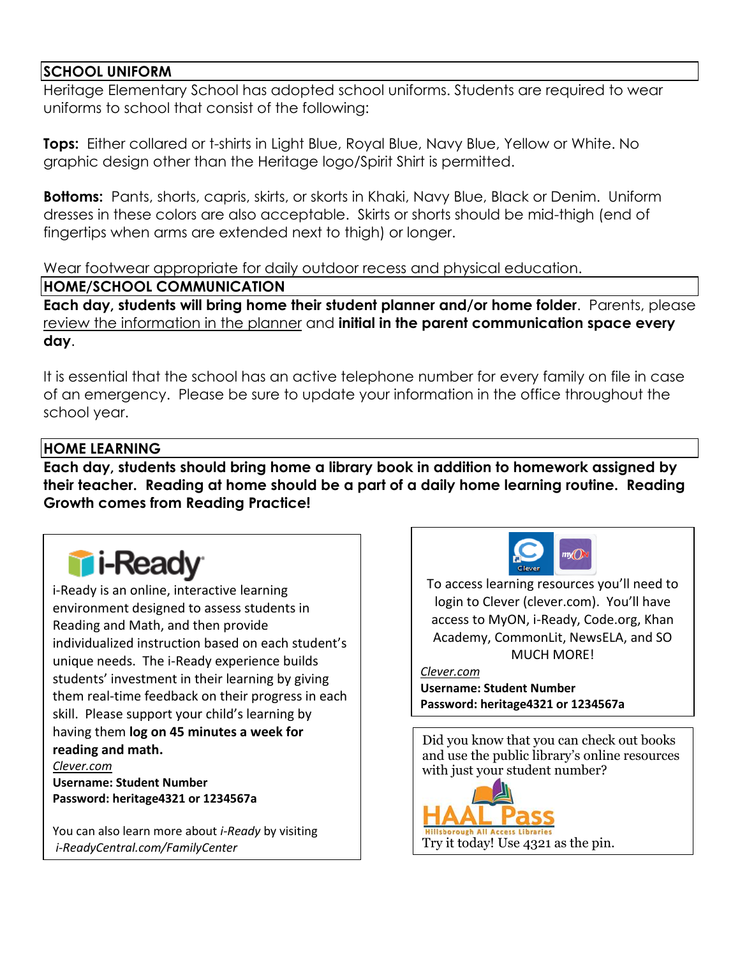#### **SCHOOL UNIFORM**

Heritage Elementary School has adopted school uniforms. Students are required to wear uniforms to school that consist of the following:

**Tops:** Either collared or t-shirts in Light Blue, Royal Blue, Navy Blue, Yellow or White. No graphic design other than the Heritage logo/Spirit Shirt is permitted.

**Bottoms:** Pants, shorts, capris, skirts, or skorts in Khaki, Navy Blue, Black or Denim. Uniform dresses in these colors are also acceptable. Skirts or shorts should be mid-thigh (end of fingertips when arms are extended next to thigh) or longer.

Wear footwear appropriate for daily outdoor recess and physical education.

#### **HOME/SCHOOL COMMUNICATION**

**Each day, students will bring home their student planner and/or home folder**. Parents, please review the information in the planner and **initial in the parent communication space every day**.

It is essential that the school has an active telephone number for every family on file in case of an emergency. Please be sure to update your information in the office throughout the school year.

#### **HOME LEARNING**

**Each day, students should bring home a library book in addition to homework assigned by their teacher. Reading at home should be a part of a daily home learning routine. Reading Growth comes from Reading Practice!** 

# **Ti-Read**

i-Ready is an online, interactive learning environment designed to assess students in Reading and Math, and then provide individualized instruction based on each student's unique needs. The i-Ready experience builds students' investment in their learning by giving them real-time feedback on their progress in each skill. Please support your child's learning by having them **log on 45 minutes a week for reading and math.** *Clever.com*

**Username: Student Number Password: heritage4321 or 1234567a**

You can also learn more about *i-Ready* by visiting *i-ReadyCentral.com/FamilyCenter*



To access learning resources you'll need to login to Clever (clever.com). You'll have access to MyON, i-Ready, Code.org, Khan Academy, CommonLit, NewsELA, and SO MUCH MORE!

#### *Clever.com*

**Username: Student Number Password: heritage4321 or 1234567a**

Did you know that you can check out books and use the public library's online resources with just your student number?